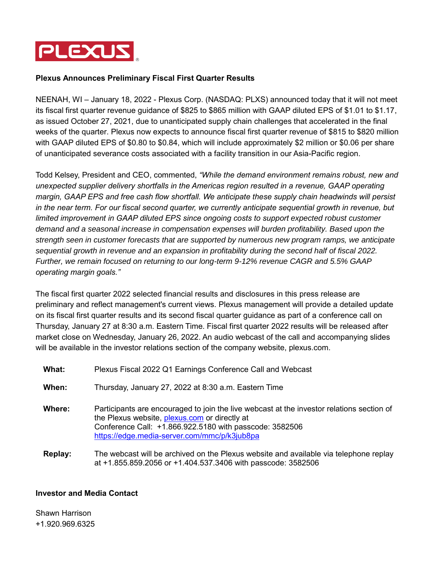

## **Plexus Announces Preliminary Fiscal First Quarter Results**

NEENAH, WI – January 18, 2022 - Plexus Corp. (NASDAQ: PLXS) announced today that it will not meet its fiscal first quarter revenue guidance of \$825 to \$865 million with GAAP diluted EPS of \$1.01 to \$1.17, as issued October 27, 2021, due to unanticipated supply chain challenges that accelerated in the final weeks of the quarter. Plexus now expects to announce fiscal first quarter revenue of \$815 to \$820 million with GAAP diluted EPS of \$0.80 to \$0.84, which will include approximately \$2 million or \$0.06 per share of unanticipated severance costs associated with a facility transition in our Asia-Pacific region.

Todd Kelsey, President and CEO, commented, *"While the demand environment remains robust, new and unexpected supplier delivery shortfalls in the Americas region resulted in a revenue, GAAP operating margin, GAAP EPS and free cash flow shortfall. We anticipate these supply chain headwinds will persist in the near term. For our fiscal second quarter, we currently anticipate sequential growth in revenue, but limited improvement in GAAP diluted EPS since ongoing costs to support expected robust customer demand and a seasonal increase in compensation expenses will burden profitability. Based upon the strength seen in customer forecasts that are supported by numerous new program ramps, we anticipate sequential growth in revenue and an expansion in profitability during the second half of fiscal 2022. Further, we remain focused on returning to our long-term 9-12% revenue CAGR and 5.5% GAAP operating margin goals."*

The fiscal first quarter 2022 selected financial results and disclosures in this press release are preliminary and reflect management's current views. Plexus management will provide a detailed update on its fiscal first quarter results and its second fiscal quarter guidance as part of a conference call on Thursday, January 27 at 8:30 a.m. Eastern Time. Fiscal first quarter 2022 results will be released after market close on Wednesday, January 26, 2022. An audio webcast of the call and accompanying slides will be available in the investor relations section of the company website, plexus.com.

| What:   | Plexus Fiscal 2022 Q1 Earnings Conference Call and Webcast                                                                                                                                                                                            |
|---------|-------------------------------------------------------------------------------------------------------------------------------------------------------------------------------------------------------------------------------------------------------|
| When:   | Thursday, January 27, 2022 at 8:30 a.m. Eastern Time                                                                                                                                                                                                  |
| Where:  | Participants are encouraged to join the live webcast at the investor relations section of<br>the Plexus website, plexus.com or directly at<br>Conference Call: +1.866.922.5180 with passcode: 3582506<br>https://edge.media-server.com/mmc/p/k3jub8pa |
| Replay: | The webcast will be archived on the Plexus website and available via telephone replay                                                                                                                                                                 |

at +1.855.859.2056 or +1.404.537.3406 with passcode: 3582506

## **Investor and Media Contact**

Shawn Harrison +1.920.969.6325